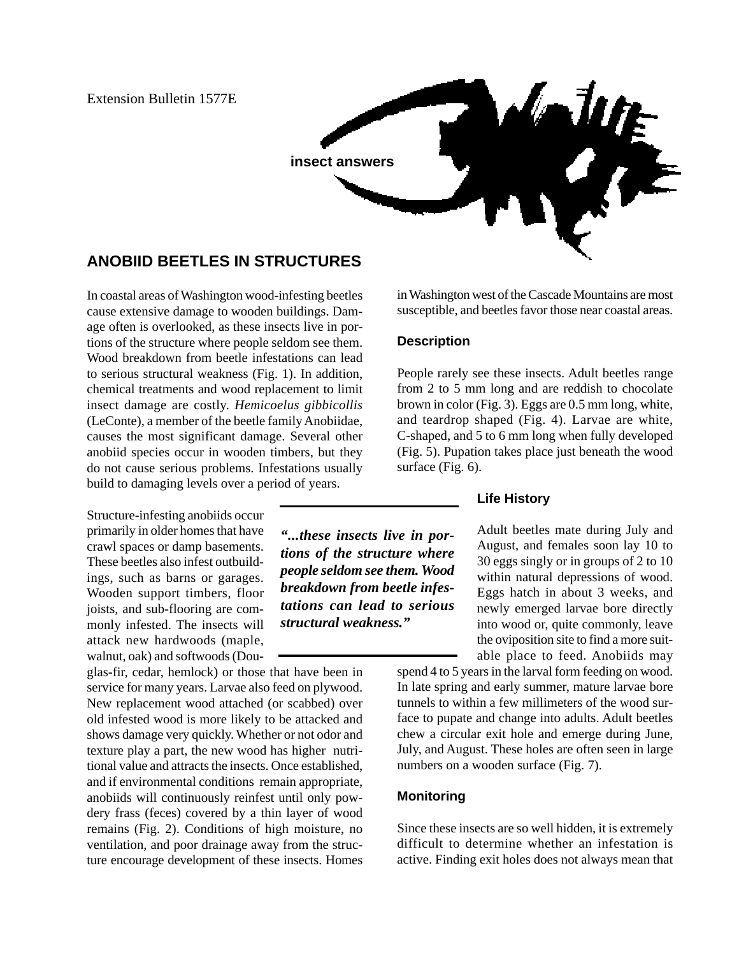Extension Bulletin 1577E

# **insect answers**

# **ANOBIID BEETLES IN STRUCTURES**

In coastal areas of Washington wood-infesting beetles cause extensive damage to wooden buildings. Damage often is overlooked, as these insects live in portions of the structure where people seldom see them. Wood breakdown from beetle infestations can lead to serious structural weakness (Fig. 1). In addition, chemical treatments and wood replacement to limit insect damage are costly. *Hemicoelus gibbicollis* (LeConte), a member of the beetle family Anobiidae, causes the most significant damage. Several other anobiid species occur in wooden timbers, but they do not cause serious problems. Infestations usually build to damaging levels over a period of years.

Structure-infesting anobiids occur primarily in older homes that have crawl spaces or damp basements. These beetles also infest outbuildings, such as barns or garages. Wooden support timbers, floor joists, and sub-flooring are commonly infested. The insects will attack new hardwoods (maple, walnut, oak) and softwoods (Dou-

glas-fir, cedar, hemlock) or those that have been in service for many years. Larvae also feed on plywood. New replacement wood attached (or scabbed) over old infested wood is more likely to be attacked and shows damage very quickly. Whether or not odor and texture play a part, the new wood has higher nutritional value and attracts the insects. Once established, and if environmental conditions remain appropriate, anobiids will continuously reinfest until only powdery frass (feces) covered by a thin layer of wood remains (Fig. 2). Conditions of high moisture, no ventilation, and poor drainage away from the structure encourage development of these insects. Homes in Washington west of the Cascade Mountains are most susceptible, and beetles favor those near coastal areas.

### **Description**

*"...these insects live in portions of the structure where people seldom see them. Wood breakdown from beetle infestations can lead to serious*

*structural weakness."*

People rarely see these insects. Adult beetles range from 2 to 5 mm long and are reddish to chocolate brown in color (Fig. 3). Eggs are 0.5 mm long, white, and teardrop shaped (Fig. 4). Larvae are white, C-shaped, and 5 to 6 mm long when fully developed (Fig. 5). Pupation takes place just beneath the wood surface (Fig. 6).

## **Life History**

Adult beetles mate during July and August, and females soon lay 10 to 30 eggs singly or in groups of 2 to 10 within natural depressions of wood. Eggs hatch in about 3 weeks, and newly emerged larvae bore directly into wood or, quite commonly, leave the oviposition site to find a more suitable place to feed. Anobiids may

spend 4 to 5 years in the larval form feeding on wood. In late spring and early summer, mature larvae bore tunnels to within a few millimeters of the wood surface to pupate and change into adults. Adult beetles chew a circular exit hole and emerge during June, July, and August. These holes are often seen in large numbers on a wooden surface (Fig. 7).

## **Monitoring**

Since these insects are so well hidden, it is extremely difficult to determine whether an infestation is active. Finding exit holes does not always mean that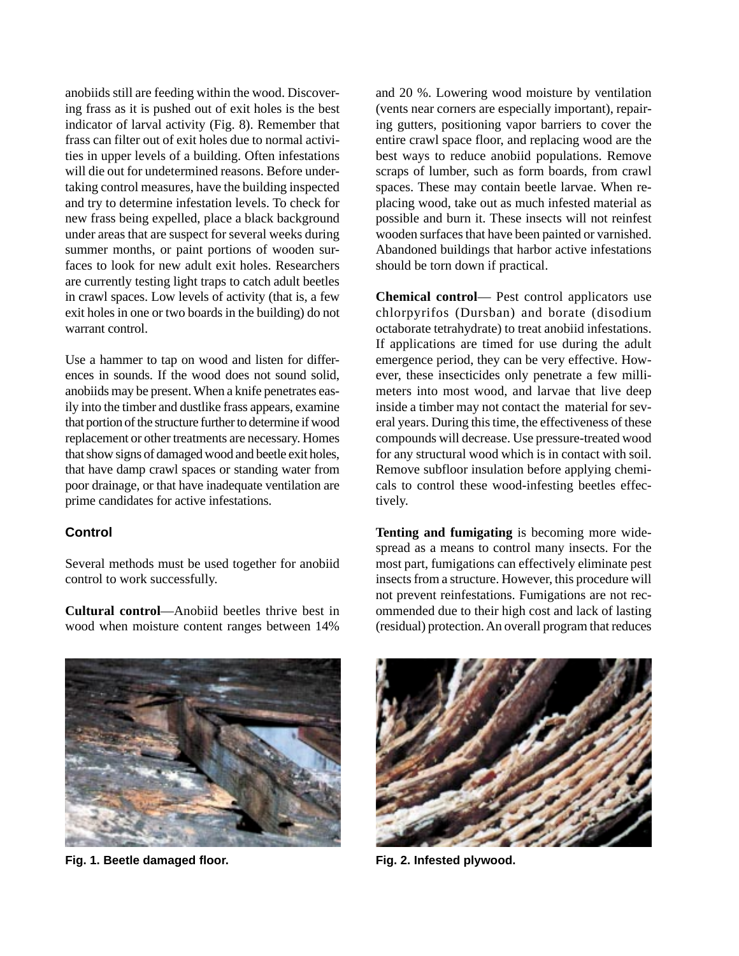anobiids still are feeding within the wood. Discovering frass as it is pushed out of exit holes is the best indicator of larval activity (Fig. 8). Remember that frass can filter out of exit holes due to normal activities in upper levels of a building. Often infestations will die out for undetermined reasons. Before undertaking control measures, have the building inspected and try to determine infestation levels. To check for new frass being expelled, place a black background under areas that are suspect for several weeks during summer months, or paint portions of wooden surfaces to look for new adult exit holes. Researchers are currently testing light traps to catch adult beetles in crawl spaces. Low levels of activity (that is, a few exit holes in one or two boards in the building) do not warrant control.

Use a hammer to tap on wood and listen for differences in sounds. If the wood does not sound solid, anobiids may be present. When a knife penetrates easily into the timber and dustlike frass appears, examine that portion of the structure further to determine if wood replacement or other treatments are necessary. Homes that show signs of damaged wood and beetle exit holes, that have damp crawl spaces or standing water from poor drainage, or that have inadequate ventilation are prime candidates for active infestations.

### **Control**

Several methods must be used together for anobiid control to work successfully.

**Cultural control**—Anobiid beetles thrive best in wood when moisture content ranges between 14%

and 20 %. Lowering wood moisture by ventilation (vents near corners are especially important), repairing gutters, positioning vapor barriers to cover the entire crawl space floor, and replacing wood are the best ways to reduce anobiid populations. Remove scraps of lumber, such as form boards, from crawl spaces. These may contain beetle larvae. When replacing wood, take out as much infested material as possible and burn it. These insects will not reinfest wooden surfaces that have been painted or varnished. Abandoned buildings that harbor active infestations should be torn down if practical.

**Chemical control**— Pest control applicators use chlorpyrifos (Dursban) and borate (disodium octaborate tetrahydrate) to treat anobiid infestations. If applications are timed for use during the adult emergence period, they can be very effective. However, these insecticides only penetrate a few millimeters into most wood, and larvae that live deep inside a timber may not contact the material for several years. During this time, the effectiveness of these compounds will decrease. Use pressure-treated wood for any structural wood which is in contact with soil. Remove subfloor insulation before applying chemicals to control these wood-infesting beetles effectively.

**Tenting and fumigating** is becoming more widespread as a means to control many insects. For the most part, fumigations can effectively eliminate pest insects from a structure. However, this procedure will not prevent reinfestations. Fumigations are not recommended due to their high cost and lack of lasting (residual) protection. An overall program that reduces



**Fig. 1. Beetle damaged floor. Fig. 2. Infested plywood.**